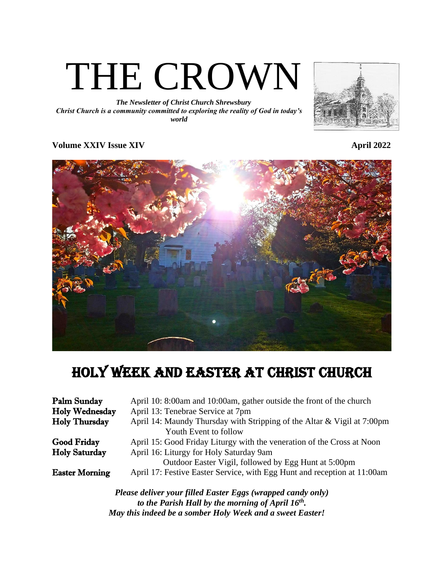

*The Newsletter of Christ Church Shrewsbury Christ Church is a community committed to exploring the reality of God in today's world*



## **Volume XXIV Issue XIV** April 2022

# holy week and easter at christ church

| Palm Sunday           | April 10: 8:00am and 10:00am, gather outside the front of the church                                               |
|-----------------------|--------------------------------------------------------------------------------------------------------------------|
| <b>Holy Wednesday</b> | April 13: Tenebrae Service at 7pm                                                                                  |
| <b>Holy Thursday</b>  | April 14: Maundy Thursday with Stripping of the Altar & Vigil at 7:00pm                                            |
|                       | Youth Event to follow                                                                                              |
| <b>Good Friday</b>    | April 15: Good Friday Liturgy with the veneration of the Cross at Noon                                             |
| <b>Holy Saturday</b>  | April 16: Liturgy for Holy Saturday 9am                                                                            |
|                       | Outdoor Easter Vigil, followed by Egg Hunt at 5:00pm                                                               |
| <b>Easter Morning</b> | April 17: Festive Easter Service, with Egg Hunt and reception at 11:00am                                           |
|                       | Please deliver your filled Easter Eggs (wrapped candy only)<br>to the Parish Hall by the morning of April $16th$ . |
|                       | May this indeed be a somber Holy Week and a sweet Easter!                                                          |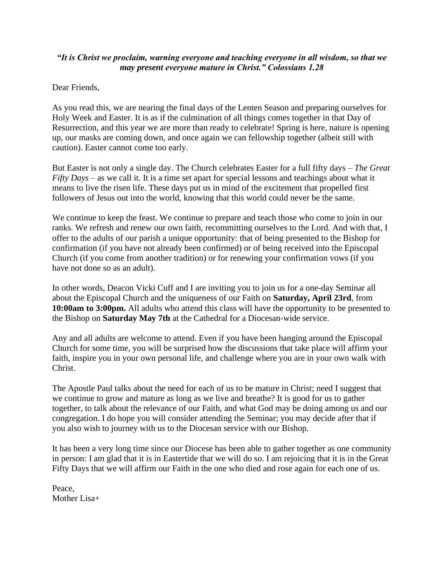## *"It is Christ we proclaim, warning everyone and teaching everyone in all wisdom, so that we may present everyone mature in Christ." Colossians 1.28*

Dear Friends,

As you read this, we are nearing the final days of the Lenten Season and preparing ourselves for Holy Week and Easter. It is as if the culmination of all things comes together in that Day of Resurrection, and this year we are more than ready to celebrate! Spring is here, nature is opening up, our masks are coming down, and once again we can fellowship together (albeit still with caution). Easter cannot come too early.

But Easter is not only a single day. The Church celebrates Easter for a full fifty days – *The Great Fifty Days* – as we call it. It is a time set apart for special lessons and teachings about what it means to live the risen life. These days put us in mind of the excitement that propelled first followers of Jesus out into the world, knowing that this world could never be the same.

We continue to keep the feast. We continue to prepare and teach those who come to join in our ranks. We refresh and renew our own faith, recommitting ourselves to the Lord. And with that, I offer to the adults of our parish a unique opportunity: that of being presented to the Bishop for confirmation (if you have not already been confirmed) or of being received into the Episcopal Church (if you come from another tradition) or for renewing your confirmation vows (if you have not done so as an adult).

In other words, Deacon Vicki Cuff and I are inviting you to join us for a one-day Seminar all about the Episcopal Church and the uniqueness of our Faith on **Saturday, April 23rd**, from **10:00am to 3:00pm.** All adults who attend this class will have the opportunity to be presented to the Bishop on **Saturday May 7th** at the Cathedral for a Diocesan-wide service.

Any and all adults are welcome to attend. Even if you have been hanging around the Episcopal Church for some time, you will be surprised how the discussions that take place will affirm your faith, inspire you in your own personal life, and challenge where you are in your own walk with Christ.

The Apostle Paul talks about the need for each of us to be mature in Christ; need I suggest that we continue to grow and mature as long as we live and breathe? It is good for us to gather together, to talk about the relevance of our Faith, and what God may be doing among us and our congregation. I do hope you will consider attending the Seminar; you may decide after that if you also wish to journey with us to the Diocesan service with our Bishop.

It has been a very long time since our Diocese has been able to gather together as one community in person: I am glad that it is in Eastertide that we will do so. I am rejoicing that it is in the Great Fifty Days that we will affirm our Faith in the one who died and rose again for each one of us.

Peace, Mother Lisa+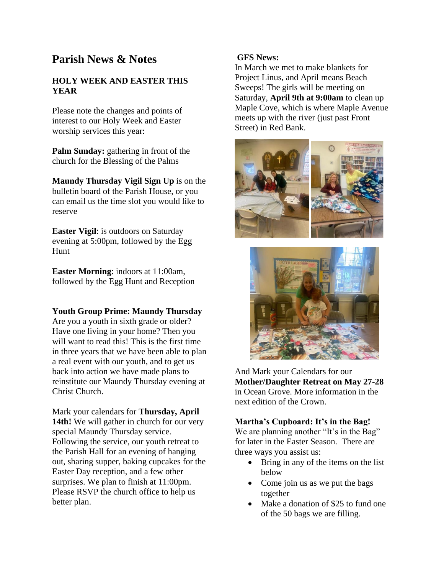# **Parish News & Notes**

## **HOLY WEEK AND EASTER THIS YEAR**

Please note the changes and points of interest to our Holy Week and Easter worship services this year:

**Palm Sunday:** gathering in front of the church for the Blessing of the Palms

**Maundy Thursday Vigil Sign Up** is on the bulletin board of the Parish House, or you can email us the time slot you would like to reserve

**Easter Vigil**: is outdoors on Saturday evening at 5:00pm, followed by the Egg Hunt

**Easter Morning**: indoors at 11:00am, followed by the Egg Hunt and Reception

### **Youth Group Prime: Maundy Thursday**

Are you a youth in sixth grade or older? Have one living in your home? Then you will want to read this! This is the first time in three years that we have been able to plan a real event with our youth, and to get us back into action we have made plans to reinstitute our Maundy Thursday evening at Christ Church.

Mark your calendars for **Thursday, April**  14th! We will gather in church for our very special Maundy Thursday service. Following the service, our youth retreat to the Parish Hall for an evening of hanging out, sharing supper, baking cupcakes for the Easter Day reception, and a few other surprises. We plan to finish at 11:00pm. Please RSVP the church office to help us better plan.

## **GFS News:**

In March we met to make blankets for Project Linus, and April means Beach Sweeps! The girls will be meeting on Saturday, **April 9th at 9:00am** to clean up Maple Cove, which is where Maple Avenue meets up with the river (just past Front Street) in Red Bank.





And Mark your Calendars for our **Mother/Daughter Retreat on May 27-28** in Ocean Grove. More information in the next edition of the Crown.

## **Martha's Cupboard: It's in the Bag!**

We are planning another "It's in the Bag" for later in the Easter Season. There are three ways you assist us:

- Bring in any of the items on the list below
- Come join us as we put the bags together
- Make a donation of \$25 to fund one of the 50 bags we are filling.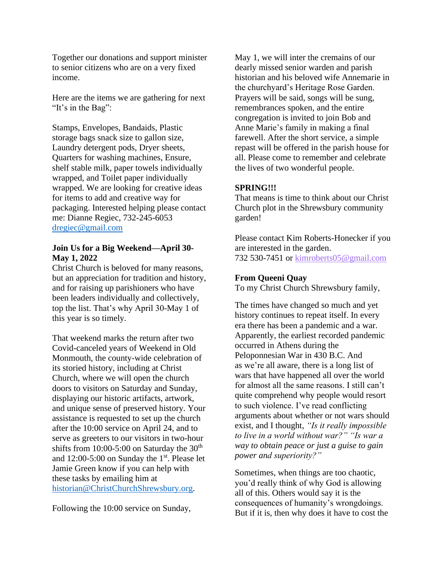Together our donations and support minister to senior citizens who are on a very fixed income.

Here are the items we are gathering for next "It's in the Bag":

Stamps, Envelopes, Bandaids, Plastic storage bags snack size to gallon size, Laundry detergent pods, Dryer sheets, Quarters for washing machines, Ensure, shelf stable milk, paper towels individually wrapped, and Toilet paper individually wrapped. We are looking for creative ideas for items to add and creative way for packaging. Interested helping please contact me: Dianne Regiec, 732-245-6053 [dregiec@gmail.com](mailto:dregiec@gmail.com)

#### **Join Us for a Big Weekend—April 30- May 1, 2022**

Christ Church is beloved for many reasons, but an appreciation for tradition and history, and for raising up parishioners who have been leaders individually and collectively, top the list. That's why April 30-May 1 of this year is so timely.

That weekend marks the return after two Covid-canceled years of Weekend in Old Monmouth, the county-wide celebration of its storied history, including at Christ Church, where we will open the church doors to visitors on Saturday and Sunday, displaying our historic artifacts, artwork, and unique sense of preserved history. Your assistance is requested to set up the church after the 10:00 service on April 24, and to serve as greeters to our visitors in two-hour shifts from 10:00-5:00 on Saturday the  $30<sup>th</sup>$ and  $12:00-5:00$  on Sunday the 1<sup>st</sup>. Please let Jamie Green know if you can help with these tasks by emailing him at [historian@ChristChurchShrewsbury.org.](mailto:historian@ChristChurchShrewsbury.org)

Following the 10:00 service on Sunday,

May 1, we will inter the cremains of our dearly missed senior warden and parish historian and his beloved wife Annemarie in the churchyard's Heritage Rose Garden. Prayers will be said, songs will be sung, remembrances spoken, and the entire congregation is invited to join Bob and Anne Marie's family in making a final farewell. After the short service, a simple repast will be offered in the parish house for all. Please come to remember and celebrate the lives of two wonderful people.

### **SPRING!!!**

That means is time to think about our Christ Church plot in the Shrewsbury community garden!

Please contact Kim Roberts-Honecker if you are interested in the garden. 732 530-7451 or [kimroberts05@gmail.com](mailto:kimroberts05@gmail.com)

#### **From Queeni Quay**

To my Christ Church Shrewsbury family,

The times have changed so much and yet history continues to repeat itself. In every era there has been a pandemic and a war. Apparently, the earliest recorded pandemic occurred in Athens during the Peloponnesian War in 430 B.C. And as we're all aware, there is a long list of wars that have happened all over the world for almost all the same reasons. I still can't quite comprehend why people would resort to such violence. I've read conflicting arguments about whether or not wars should exist, and I thought, *"Is it really impossible to live in a world without war?" "Is war a way to obtain peace or just a guise to gain power and superiority?"*

Sometimes, when things are too chaotic, you'd really think of why God is allowing all of this. Others would say it is the consequences of humanity's wrongdoings. But if it is, then why does it have to cost the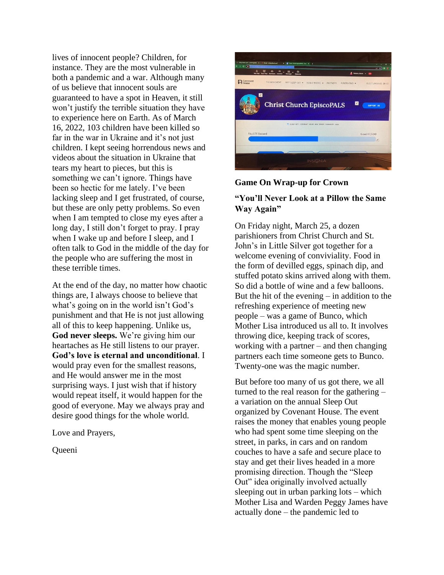lives of innocent people? Children, for instance. They are the most vulnerable in both a pandemic and a war. Although many of us believe that innocent souls are guaranteed to have a spot in Heaven, it still won't justify the terrible situation they have to experience here on Earth. As of March 16, 2022, 103 children have been killed so far in the war in Ukraine and it's not just children. I kept seeing horrendous news and videos about the situation in Ukraine that tears my heart to pieces, but this is something we can't ignore. Things have been so hectic for me lately. I've been lacking sleep and I get frustrated, of course, but these are only petty problems. So even when I am tempted to close my eyes after a long day, I still don't forget to pray. I pray when I wake up and before I sleep, and I often talk to God in the middle of the day for the people who are suffering the most in these terrible times.

At the end of the day, no matter how chaotic things are, I always choose to believe that what's going on in the world isn't God's punishment and that He is not just allowing all of this to keep happening. Unlike us, **God never sleeps.** We're giving him our heartaches as He still listens to our prayer. **God's love is eternal and unconditional**. I would pray even for the smallest reasons, and He would answer me in the most surprising ways. I just wish that if history would repeat itself, it would happen for the good of everyone. May we always pray and desire good things for the whole world.

Love and Prayers,

**Queeni** 



## **Game On Wrap-up for Crown**

## **"You'll Never Look at a Pillow the Same Way Again"**

On Friday night, March 25, a dozen parishioners from Christ Church and St. John's in Little Silver got together for a welcome evening of conviviality. Food in the form of devilled eggs, spinach dip, and stuffed potato skins arrived along with them. So did a bottle of wine and a few balloons. But the hit of the evening – in addition to the refreshing experience of meeting new people – was a game of Bunco, which Mother Lisa introduced us all to. It involves throwing dice, keeping track of scores, working with a partner – and then changing partners each time someone gets to Bunco. Twenty-one was the magic number.

But before too many of us got there, we all turned to the real reason for the gathering – a variation on the annual Sleep Out organized by Covenant House. The event raises the money that enables young people who had spent some time sleeping on the street, in parks, in cars and on random couches to have a safe and secure place to stay and get their lives headed in a more promising direction. Though the "Sleep Out" idea originally involved actually sleeping out in urban parking lots – which Mother Lisa and Warden Peggy James have actually done – the pandemic led to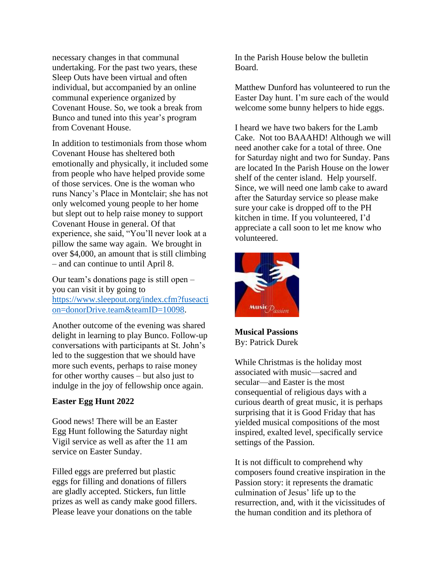necessary changes in that communal undertaking. For the past two years, these Sleep Outs have been virtual and often individual, but accompanied by an online communal experience organized by Covenant House. So, we took a break from Bunco and tuned into this year's program from Covenant House.

In addition to testimonials from those whom Covenant House has sheltered both emotionally and physically, it included some from people who have helped provide some of those services. One is the woman who runs Nancy's Place in Montclair; she has not only welcomed young people to her home but slept out to help raise money to support Covenant House in general. Of that experience, she said, "You'll never look at a pillow the same way again. We brought in over \$4,000, an amount that is still climbing – and can continue to until April 8.

Our team's donations page is still open – you can visit it by going to [https://www.sleepout.org/index.cfm?fuseacti](https://www.sleepout.org/index.cfm?fuseaction=donorDrive.team&teamID=10098) [on=donorDrive.team&teamID=10098.](https://www.sleepout.org/index.cfm?fuseaction=donorDrive.team&teamID=10098)

Another outcome of the evening was shared delight in learning to play Bunco. Follow-up conversations with participants at St. John's led to the suggestion that we should have more such events, perhaps to raise money for other worthy causes – but also just to indulge in the joy of fellowship once again.

#### **Easter Egg Hunt 2022**

Good news! There will be an Easter Egg Hunt following the Saturday night Vigil service as well as after the 11 am service on Easter Sunday.

Filled eggs are preferred but plastic eggs for filling and donations of fillers are gladly accepted. Stickers, fun little prizes as well as candy make good fillers. Please leave your donations on the table

In the Parish House below the bulletin Board.

Matthew Dunford has volunteered to run the Easter Day hunt. I'm sure each of the would welcome some bunny helpers to hide eggs.

I heard we have two bakers for the Lamb Cake. Not too BAAAHD! Although we will need another cake for a total of three. One for Saturday night and two for Sunday. Pans are located In the Parish House on the lower shelf of the center island. Help yourself. Since, we will need one lamb cake to award after the Saturday service so please make sure your cake is dropped off to the PH kitchen in time. If you volunteered, I'd appreciate a call soon to let me know who volunteered.



**Musical Passions** By: Patrick Durek

While Christmas is the holiday most associated with music—sacred and secular—and Easter is the most consequential of religious days with a curious dearth of great music, it is perhaps surprising that it is Good Friday that has yielded musical compositions of the most inspired, exalted level, specifically service settings of the Passion.

It is not difficult to comprehend why composers found creative inspiration in the Passion story: it represents the dramatic culmination of Jesus' life up to the resurrection, and, with it the vicissitudes of the human condition and its plethora of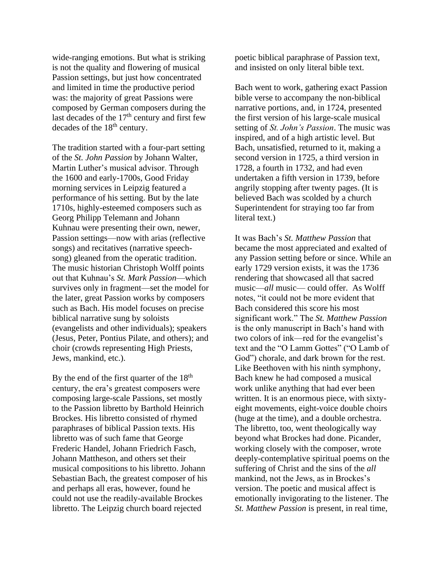wide-ranging emotions. But what is striking is not the quality and flowering of musical Passion settings, but just how concentrated and limited in time the productive period was: the majority of great Passions were composed by German composers during the last decades of the  $17<sup>th</sup>$  century and first few decades of the 18<sup>th</sup> century.

The tradition started with a four-part setting of the *St. John Passion* by Johann Walter, Martin Luther's musical advisor. Through the 1600 and early-1700s, Good Friday morning services in Leipzig featured a performance of his setting. But by the late 1710s, highly-esteemed composers such as Georg Philipp Telemann and Johann Kuhnau were presenting their own, newer, Passion settings—now with arias (reflective songs) and recitatives (narrative speechsong) gleaned from the operatic tradition. The music historian Christoph Wolff points out that Kuhnau's *St. Mark Passion*—which survives only in fragment—set the model for the later, great Passion works by composers such as Bach. His model focuses on precise biblical narrative sung by soloists (evangelists and other individuals); speakers (Jesus, Peter, Pontius Pilate, and others); and choir (crowds representing High Priests, Jews, mankind, etc.).

By the end of the first quarter of the  $18<sup>th</sup>$ century, the era's greatest composers were composing large-scale Passions, set mostly to the Passion libretto by Barthold Heinrich Brockes. His libretto consisted of rhymed paraphrases of biblical Passion texts. His libretto was of such fame that George Frederic Handel, Johann Friedrich Fasch, Johann Mattheson, and others set their musical compositions to his libretto. Johann Sebastian Bach, the greatest composer of his and perhaps all eras, however, found he could not use the readily-available Brockes libretto. The Leipzig church board rejected

poetic biblical paraphrase of Passion text, and insisted on only literal bible text.

Bach went to work, gathering exact Passion bible verse to accompany the non-biblical narrative portions, and, in 1724, presented the first version of his large-scale musical setting of *St. John's Passion*. The music was inspired, and of a high artistic level. But Bach, unsatisfied, returned to it, making a second version in 1725, a third version in 1728, a fourth in 1732, and had even undertaken a fifth version in 1739, before angrily stopping after twenty pages. (It is believed Bach was scolded by a church Superintendent for straying too far from literal text.)

It was Bach's *St. Matthew Passion* that became the most appreciated and exalted of any Passion setting before or since. While an early 1729 version exists, it was the 1736 rendering that showcased all that sacred music—*all* music— could offer. As Wolff notes, "it could not be more evident that Bach considered this score his most significant work." The *St. Matthew Passion*  is the only manuscript in Bach's hand with two colors of ink—red for the evangelist's text and the "O Lamm Gottes" ("O Lamb of God") chorale, and dark brown for the rest. Like Beethoven with his ninth symphony, Bach knew he had composed a musical work unlike anything that had ever been written. It is an enormous piece, with sixtyeight movements, eight-voice double choirs (huge at the time), and a double orchestra. The libretto, too, went theologically way beyond what Brockes had done. Picander, working closely with the composer, wrote deeply-contemplative spiritual poems on the suffering of Christ and the sins of the *all*  mankind, not the Jews, as in Brockes's version. The poetic and musical affect is emotionally invigorating to the listener. The *St. Matthew Passion* is present, in real time,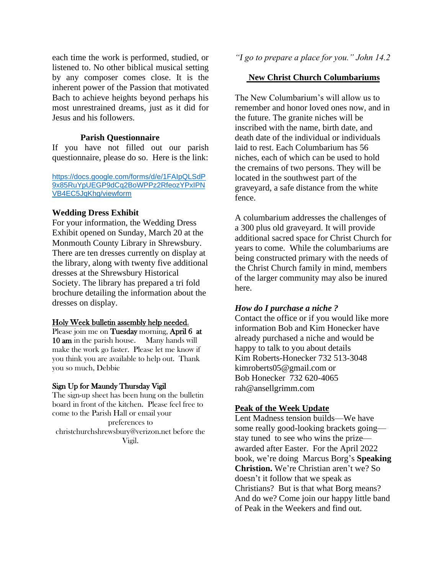each time the work is performed, studied, or listened to. No other biblical musical setting by any composer comes close. It is the inherent power of the Passion that motivated Bach to achieve heights beyond perhaps his most unrestrained dreams, just as it did for Jesus and his followers.

#### **Parish Questionnaire**

If you have not filled out our parish questionnaire, please do so. Here is the link:

[https://docs.google.com/forms/d/e/1FAIpQLSdP](https://docs.google.com/forms/d/e/1FAIpQLSdP9x85RuYpUEGP9dCq2BoWPPz2RfeozYPxIPNVB4EC5JqKhg/viewform) [9x85RuYpUEGP9dCq2BoWPPz2RfeozYPxIPN](https://docs.google.com/forms/d/e/1FAIpQLSdP9x85RuYpUEGP9dCq2BoWPPz2RfeozYPxIPNVB4EC5JqKhg/viewform) [VB4EC5JqKhg/viewform](https://docs.google.com/forms/d/e/1FAIpQLSdP9x85RuYpUEGP9dCq2BoWPPz2RfeozYPxIPNVB4EC5JqKhg/viewform)

#### **Wedding Dress Exhibit**

For your information, the Wedding Dress Exhibit opened on Sunday, March 20 at the Monmouth County Library in Shrewsbury. There are ten dresses currently on display at the library, along with twenty five additional dresses at the Shrewsbury Historical Society. The library has prepared a tri fold brochure detailing the information about the dresses on display.

#### Holy Week bulletin assembly help needed.

Please join me on Tuesday morning, April 6 at 10 am in the parish house. Many hands will make the work go faster. Please let me know if you think you are available to help out. Thank you so much, Debbie

#### Sign Up for Maundy Thursday Vigil

The sign-up sheet has been hung on the bulletin board in front of the kitchen. Please feel free to come to the Parish Hall or email your preferences to christchurchshrewsbury@verizon.net before the Vigil.

*"I go to prepare a place for you." John 14.2*

#### **New Christ Church Columbariums**

The New Columbarium's will allow us to remember and honor loved ones now, and in the future. The granite niches will be inscribed with the name, birth date, and death date of the individual or individuals laid to rest. Each Columbarium has 56 niches, each of which can be used to hold the cremains of two persons. They will be located in the southwest part of the graveyard, a safe distance from the white fence.

A columbarium addresses the challenges of a 300 plus old graveyard. It will provide additional sacred space for Christ Church for years to come. While the columbariums are being constructed primary with the needs of the Christ Church family in mind, members of the larger community may also be inured here.

#### *How do I purchase a niche ?*

Contact the office or if you would like more information Bob and Kim Honecker have already purchased a niche and would be happy to talk to you about details Kim Roberts-Honecker 732 513-3048 kimroberts05@gmail.com or Bob Honecker 732 620-4065 rah@ansellgrimm.com

#### **Peak of the Week Update**

Lent Madness tension builds—We have some really good-looking brackets going stay tuned to see who wins the prize awarded after Easter. For the April 2022 book, we're doing Marcus Borg's **Speaking Christion.** We're Christian aren't we? So doesn't it follow that we speak as Christians? But is that what Borg means? And do we? Come join our happy little band of Peak in the Weekers and find out.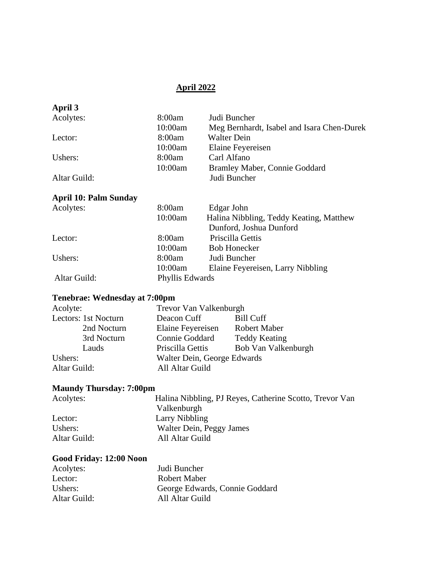## **April 2022**

| April 3      |         |                                            |
|--------------|---------|--------------------------------------------|
| Acolytes:    | 8:00am  | Judi Buncher                               |
|              | 10:00am | Meg Bernhardt, Isabel and Isara Chen-Durek |
| Lector:      | 8:00am  | <b>Walter Dein</b>                         |
|              | 10:00am | Elaine Feyereisen                          |
| Ushers:      | 8:00am  | Carl Alfano                                |
|              | 10:00am | Bramley Maber, Connie Goddard              |
| Altar Guild: |         | Judi Buncher                               |
|              |         |                                            |

## **April 10: Palm Sunday**

| Acolytes:    | 8:00am          | Edgar John                              |
|--------------|-----------------|-----------------------------------------|
|              | 10:00am         | Halina Nibbling, Teddy Keating, Matthew |
|              |                 | Dunford, Joshua Dunford                 |
| Lector:      | 8:00am          | Priscilla Gettis                        |
|              | 10:00am         | <b>Bob Honecker</b>                     |
| Ushers:      | 8:00am          | Judi Buncher                            |
|              | 10:00am         | Elaine Feyereisen, Larry Nibbling       |
| Altar Guild: | Phyllis Edwards |                                         |

# **Tenebrae: Wednesday at 7:00pm**

| Acolyte:             | Trevor Van Valkenburgh      |                      |  |
|----------------------|-----------------------------|----------------------|--|
| Lectors: 1st Nocturn | Deacon Cuff                 | <b>Bill Cuff</b>     |  |
| 2nd Nocturn          | Elaine Feyereisen           | <b>Robert Maber</b>  |  |
| 3rd Nocturn          | Connie Goddard              | <b>Teddy Keating</b> |  |
| Lauds                | Priscilla Gettis            | Bob Van Valkenburgh  |  |
| Ushers:              | Walter Dein, George Edwards |                      |  |
| Altar Guild:         | All Altar Guild             |                      |  |

## **Maundy Thursday: 7:00pm**

| Acolytes:    | Halina Nibbling, PJ Reyes, Catherine Scotto, Trevor Van |
|--------------|---------------------------------------------------------|
|              | Valkenburgh                                             |
| Lector:      | Larry Nibbling                                          |
| Ushers:      | Walter Dein, Peggy James                                |
| Altar Guild: | All Altar Guild                                         |

## **Good Friday: 12:00 Noon**

| Acolytes:    | Judi Buncher                   |
|--------------|--------------------------------|
| Lector:      | Robert Maber                   |
| Ushers:      | George Edwards, Connie Goddard |
| Altar Guild: | All Altar Guild                |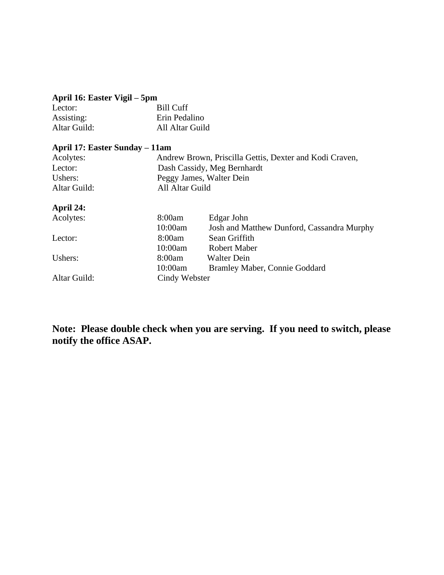# **April 16: Easter Vigil – 5pm**

| Lector:      | Bill Cuff       |
|--------------|-----------------|
| Assisting:   | Erin Pedalino   |
| Altar Guild: | All Altar Guild |

## **April 17: Easter Sunday – 11am**

| Acolytes:    | Andrew Brown, Priscilla Gettis, Dexter and Kodi Craven, |
|--------------|---------------------------------------------------------|
| Lector:      | Dash Cassidy, Meg Bernhardt                             |
| Ushers:      | Peggy James, Walter Dein                                |
| Altar Guild: | All Altar Guild                                         |

## **April 24:**

| Acolytes:    | 8:00am        | Edgar John                                 |
|--------------|---------------|--------------------------------------------|
|              | 10:00am       | Josh and Matthew Dunford, Cassandra Murphy |
| Lector:      | 8:00am        | Sean Griffith                              |
|              | 10:00am       | <b>Robert Maber</b>                        |
| Ushers:      | 8:00am        | <b>Walter Dein</b>                         |
|              | 10:00am       | Bramley Maber, Connie Goddard              |
| Altar Guild: | Cindy Webster |                                            |

**Note: Please double check when you are serving. If you need to switch, please notify the office ASAP.**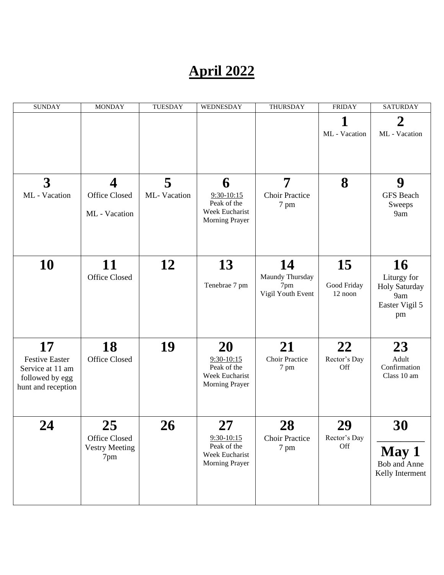# **April 2022**

| <b>SUNDAY</b>                                                                      | <b>MONDAY</b>                                       | <b>TUESDAY</b> | WEDNESDAY                                                             | <b>THURSDAY</b>                                   | <b>FRIDAY</b>                       | <b>SATURDAY</b>                                                          |
|------------------------------------------------------------------------------------|-----------------------------------------------------|----------------|-----------------------------------------------------------------------|---------------------------------------------------|-------------------------------------|--------------------------------------------------------------------------|
|                                                                                    |                                                     |                |                                                                       |                                                   | ML - Vacation                       | $\mathbf 2$<br>ML - Vacation                                             |
| $\overline{3}$                                                                     | $\overline{\mathbf{4}}$                             | 5              | 6                                                                     | 7                                                 | 8                                   | 9                                                                        |
| ML - Vacation                                                                      | Office Closed                                       | ML-Vacation    | $9:30-10:15$                                                          | <b>Choir Practice</b>                             |                                     | <b>GFS</b> Beach                                                         |
|                                                                                    | ML - Vacation                                       |                | Peak of the<br>Week Eucharist<br>Morning Prayer                       | 7 pm                                              |                                     | Sweeps<br>9am                                                            |
|                                                                                    |                                                     |                |                                                                       |                                                   |                                     |                                                                          |
| <b>10</b>                                                                          | 11<br><b>Office Closed</b>                          | 12             | 13<br>Tenebrae 7 pm                                                   | 14<br>Maundy Thursday<br>7pm<br>Vigil Youth Event | <b>15</b><br>Good Friday<br>12 noon | <b>16</b><br>Liturgy for<br>Holy Saturday<br>9am<br>Easter Vigil 5<br>pm |
| 17                                                                                 | 18                                                  | 19             | <b>20</b>                                                             | 21                                                | 22                                  | 23                                                                       |
| <b>Festive Easter</b><br>Service at 11 am<br>followed by egg<br>hunt and reception | Office Closed                                       |                | $9:30-10:15$<br>Peak of the<br>Week Eucharist<br>Morning Prayer       | <b>Choir Practice</b><br>7 pm                     | Rector's Day<br>Off                 | Adult<br>Confirmation<br>Class 10 am                                     |
| 24                                                                                 | 25<br>Office Closed<br><b>Vestry Meeting</b><br>7pm | 26             | 27<br>$9:30-10:15$<br>Peak of the<br>Week Eucharist<br>Morning Prayer | 28<br><b>Choir Practice</b><br>7 pm               | 29<br>Rector's Day<br>Off           | 30<br>May 1<br>Bob and Anne<br>Kelly Interment                           |